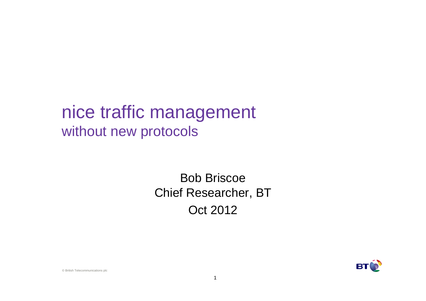## nice traffic managementwithout new protocols

#### Bob Briscoe Chief Researcher, BTOct 2012



© British Telecommunications plc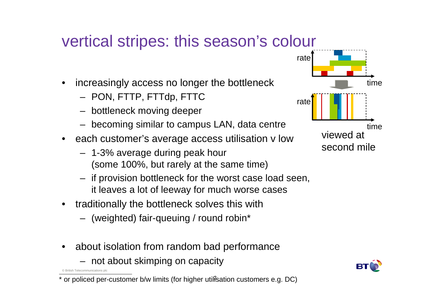## vertical stripes: this season's colour

- • increasingly access no longer the bottleneck
	- PON, FTTP, FTTdp, FTTC
	- bottleneck moving deeper
	- becoming similar to campus LAN, data centre
- each customer's average access utilisation v low
	- 1-3% average during peak hour(some 100%, but rarely at the same time)
	- if provision bottleneck for the worst case load seen, it leaves a lot of leeway for much worse cases
- $\bullet$  traditionally the bottleneck solves this with
	- (weighted) fair-queuing / round robin\*
- • about isolation from random bad performance
	- not about skimping on capacity

© British Telecommunications pl





<sup>\*</sup> or policed per-customer b/w limits (for higher util<del>i</del>sation customers e.g. DC)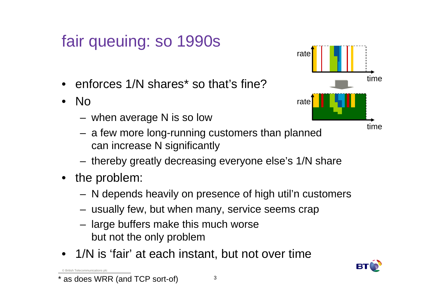## fair queuing: so 1990s

- enforces 1/N shares\* so that's fine?
- No
	- –when average N is so low
	- – a few more long-running customers than plannedcan increase N significantly
	- –thereby greatly decreasing everyone else's 1/N share
- the problem:

© British Telecommunications plc

- –N depends heavily on presence of high util'n customers
- –usually few, but when many, service seems crap
- – large buffers make this much worsebut not the only problem
- 1/N is 'fair' at each instant, but not over time



as does WRR (and TCP sort-of)

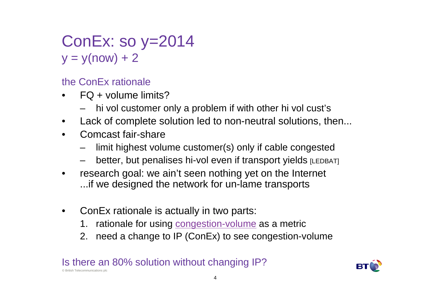### ConEx: so y=2014  $y = y(now) + 2$

the ConEx rationale

- FQ + volume limits?•
	- hi vol customer only a problem if with other hi vol cust's
- •Lack of complete solution led to non-neutral solutions, then...
- •Comcast fair-share

© British Telecommunications plc

- limit highest volume customer(s) only if cable congested
- better, but penalises hi-vol even if transport yields [LEDBAT]
- • research goal: we ain't seen nothing yet on the Internet ...if we designed the network for un-lame transports
- • ConEx rationale is actually in two parts:
	- 1.  $\,$  rationale for using  $\overline{\rm\bf\emph{congestion-volume}}\,$  as a metric
	- 2. need a change to IP (ConEx) to see congestion-volume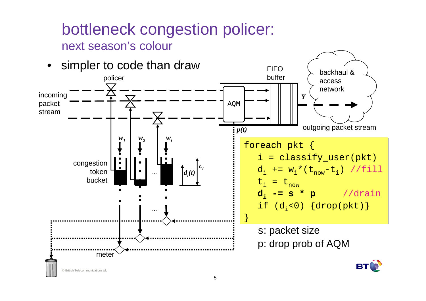#### bottleneck congestion policer: next season's colour

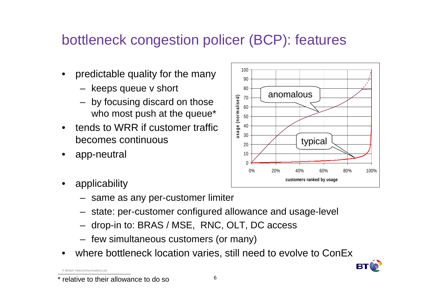#### bottleneck congestion policer (BCP): features

- predictable quality for the many
	- keeps queue v short
	- by focusing discard on those who most push at the queue\*
- • tends to WRR if customer traffic becomes continuous
- •app-neutral



- applicability
	- same as any per-customer limiter
	- state: per-customer configured allowance and usage-level
	- drop-in to: BRAS / MSE, RNC, OLT, DC access
	- few simultaneous customers (or many)
- •where bottleneck location varies, still need to evolve to ConEx



relative to their allowance to do so

© British Telecommunications p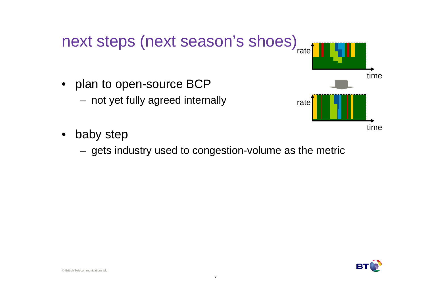

- $\bullet$  baby step
	- –gets industry used to congestion-volume as the metric

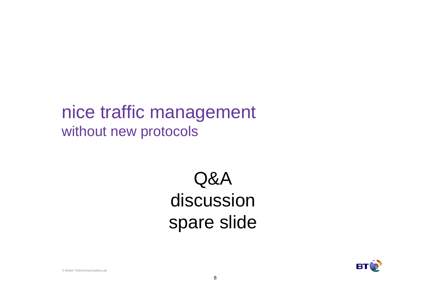## nice traffic managementwithout new protocols

# Q&A discussionspare slide



© British Telecommunications plc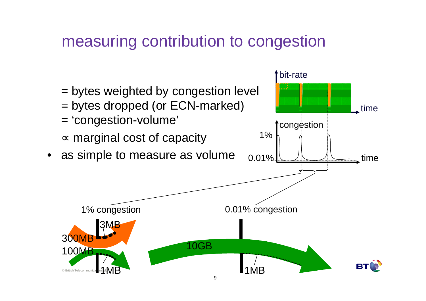#### measuring contribution to congestion